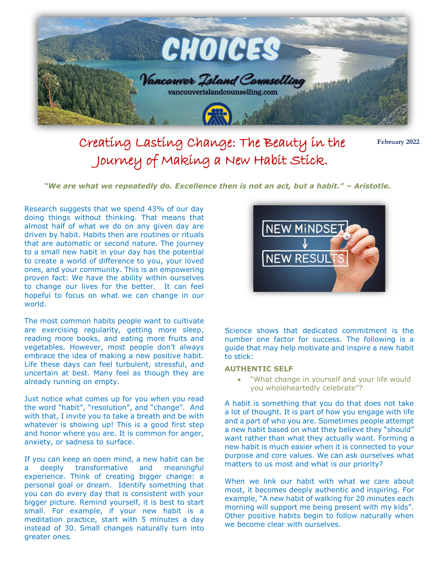

Creating Lasting Change: The Beauty in the Journey of Making a New Habit Stick.

**February 2022**

*"We are what we repeatedly do. Excellence then is not an act, but a habit." – Aristotle.*

Research suggests that we spend 43% of our day doing things without thinking. That means that almost half of what we do on any given day are driven by habit. Habits then are routines or rituals that are automatic or second nature. The journey to a small new habit in your day has the potential to create a world of difference to you, your loved ones, and your community. This is an empowering proven fact: We have the ability within ourselves to change our lives for the better. It can feel hopeful to focus on what we can change in our world.

The most common habits people want to cultivate are exercising regularity, getting more sleep, reading more books, and eating more fruits and vegetables. However, most people don't always embrace the idea of making a new positive habit. Life these days can feel turbulent, stressful, and uncertain at best. Many feel as though they are already running on empty.

Just notice what comes up for you when you read the word "habit", "resolution", and "change". And with that, I invite you to take a breath and be with whatever is showing up! This is a good first step and honor where you are. It is common for anger, anxiety, or sadness to surface.

If you can keep an open mind, a new habit can be a deeply transformative and meaningful experience. Think of creating bigger change: a personal goal or dream. Identify something that you can do every day that is consistent with your bigger picture. Remind yourself, it is best to start small. For example, if your new habit is a meditation practice, start with 5 minutes a day instead of 30. Small changes naturally turn into greater ones.



Science shows that dedicated commitment is the number one factor for success. The following is a guide that may help motivate and inspire a new habit to stick:

## **AUTHENTIC SELF**

 "What change in yourself and your life would you wholeheartedly celebrate"?

A habit is something that you do that does not take a lot of thought. It is part of how you engage with life and a part of who you are. Sometimes people attempt a new habit based on what they believe they "should" want rather than what they actually want. Forming a new habit is much easier when it is connected to your purpose and core values. We can ask ourselves what matters to us most and what is our priority?

When we link our habit with what we care about most, it becomes deeply authentic and inspiring. For example, "A new habit of walking for 20 minutes each morning will support me being present with my kids". Other positive habits begin to follow naturally when we become clear with ourselves.